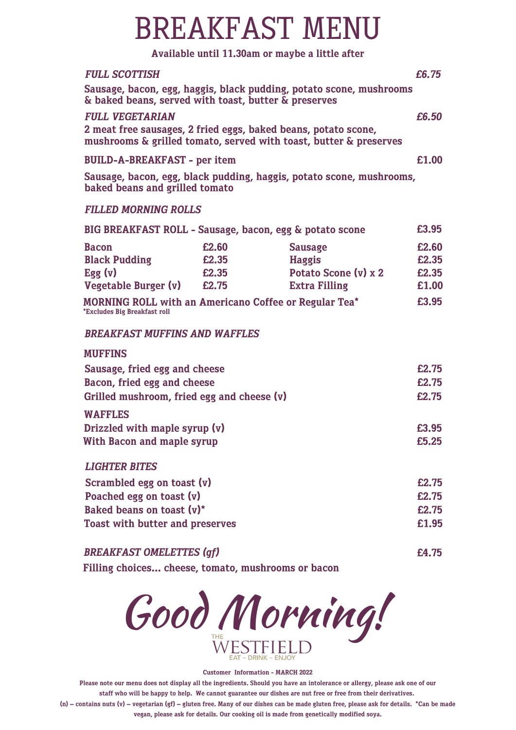### BREAKFAST MENU

### **Available until 11.30am or maybe a little after**

| <b>FULL SCOTTISH</b>                                                                                                                                                                                                                      |                         |                                                                                 |                                                    |
|-------------------------------------------------------------------------------------------------------------------------------------------------------------------------------------------------------------------------------------------|-------------------------|---------------------------------------------------------------------------------|----------------------------------------------------|
| & baked beans, served with toast, butter & preserves                                                                                                                                                                                      |                         | Sausage, bacon, egg, haggis, black pudding, potato scone, mushrooms             |                                                    |
| <b>FULL VEGETARIAN</b><br>2 meat free sausages, 2 fried eggs, baked beans, potato scone,<br>mushrooms & grilled tomato, served with toast, butter & preserves                                                                             |                         |                                                                                 |                                                    |
| <b>BUILD-A-BREAKFAST - per item</b>                                                                                                                                                                                                       |                         |                                                                                 | £1.00                                              |
| baked beans and grilled tomato                                                                                                                                                                                                            |                         | Sausage, bacon, egg, black pudding, haggis, potato scone, mushrooms,            |                                                    |
| <b>FILLED MORNING ROLLS</b>                                                                                                                                                                                                               |                         |                                                                                 |                                                    |
|                                                                                                                                                                                                                                           |                         | BIG BREAKFAST ROLL - Sausage, bacon, egg & potato scone                         | £3.95                                              |
| <b>Bacon</b><br><b>Black Pudding</b><br>Egg (v)<br>Vegetable Burger $(v)$ £2.75<br><b>MORNING ROLL with an Americano Coffee or Regular Tea*</b><br>*Excludes Big Breakfast roll<br><b>BREAKFAST MUFFINS AND WAFFLES</b><br><b>MUFFINS</b> | £2.60<br>£2.35<br>£2.35 | <b>Sausage</b><br><b>Haggis</b><br>Potato Scone (v) x 2<br><b>Extra Filling</b> | £2.60<br>£2.35<br>£2.35<br>£1.00<br>£3.95<br>£2.75 |
| Sausage, fried egg and cheese<br>Bacon, fried egg and cheese                                                                                                                                                                              |                         |                                                                                 |                                                    |
| Grilled mushroom, fried egg and cheese $(v)$                                                                                                                                                                                              |                         |                                                                                 |                                                    |
| <b>WAFFLES</b><br>Drizzled with maple syrup (v)<br><b>With Bacon and maple syrup</b>                                                                                                                                                      |                         |                                                                                 |                                                    |
| <b>LIGHTER BITES</b><br>Scrambled egg on toast (v)<br>Poached egg on toast (v)<br>Baked beans on toast (v)*<br><b>Toast with butter and preserves</b>                                                                                     |                         |                                                                                 |                                                    |
|                                                                                                                                                                                                                                           |                         |                                                                                 |                                                    |

*BREAKFAST OMELETTES (gf)* **£4.75**

**Filling choices... cheese, tomato, mushrooms or bacon**



#### **Customer Information - MARCH 2022**

Please note our menu does not display all the ingredients. Should you have an intolerance or allergy, please ask one of our staff who will be happy to help. We cannot guarantee our dishes are nut free or free from their derivatives.

(n) - contains nuts (v) - vegetarian (gf) - gluten free. Many of our dishes can be made gluten free, please ask for details. \*Can be made **vegan, please ask for details. Our cooking oil is made from genetically modified soya.**